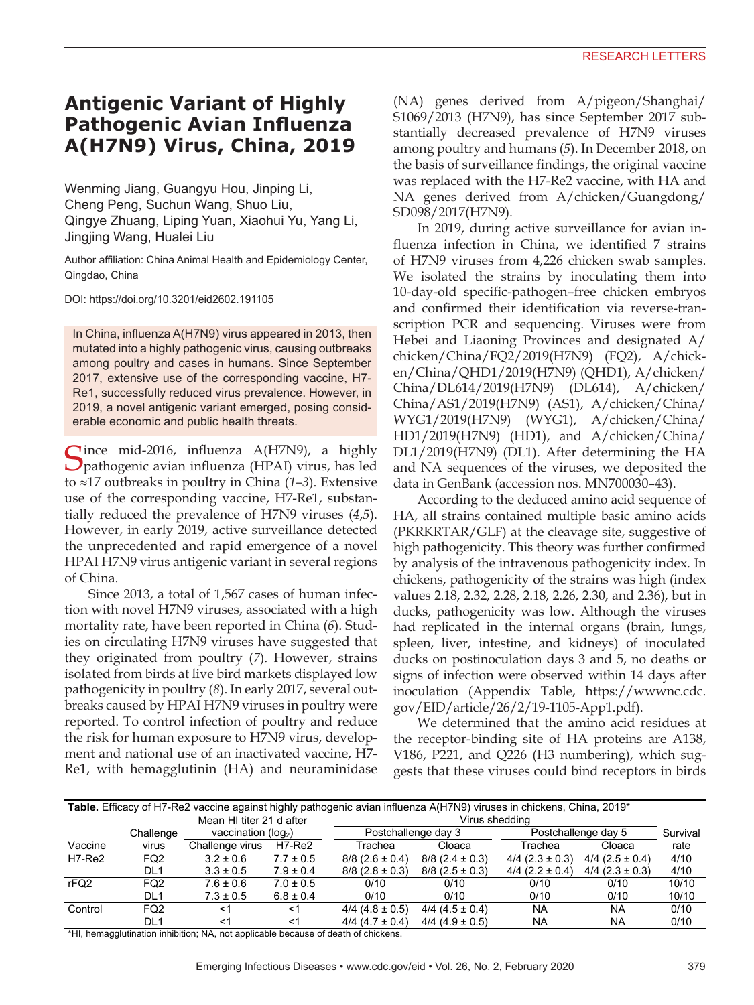## **Antigenic Variant of Highly Pathogenic Avian Influenza A(H7N9) Virus, China, 2019**

Wenming Jiang, Guangyu Hou, Jinping Li, Cheng Peng, Suchun Wang, Shuo Liu, Qingye Zhuang, Liping Yuan, Xiaohui Yu, Yang Li, Jingjing Wang, Hualei Liu

Author affiliation: China Animal Health and Epidemiology Center, Qingdao, China

DOI: https://doi.org/10.3201/eid2602.191105

In China, influenza A(H7N9) virus appeared in 2013, then mutated into a highly pathogenic virus, causing outbreaks among poultry and cases in humans. Since September 2017, extensive use of the corresponding vaccine, H7- Re1, successfully reduced virus prevalence. However, in 2019, a novel antigenic variant emerged, posing considerable economic and public health threats.

Cince mid-2016, influenza A(H7N9), a highly pathogenic avian influenza (HPAI) virus, has led to ≈17 outbreaks in poultry in China (*1–3*). Extensive use of the corresponding vaccine, H7-Re1, substantially reduced the prevalence of H7N9 viruses (*4*,*5*). However, in early 2019, active surveillance detected the unprecedented and rapid emergence of a novel HPAI H7N9 virus antigenic variant in several regions of China.

Since 2013, a total of 1,567 cases of human infection with novel H7N9 viruses, associated with a high mortality rate, have been reported in China (*6*). Studies on circulating H7N9 viruses have suggested that they originated from poultry (*7*). However, strains isolated from birds at live bird markets displayed low pathogenicity in poultry (*8*). In early 2017, several outbreaks caused by HPAI H7N9 viruses in poultry were reported. To control infection of poultry and reduce the risk for human exposure to H7N9 virus, development and national use of an inactivated vaccine, H7- Re1, with hemagglutinin (HA) and neuraminidase

(NA) genes derived from A/pigeon/Shanghai/ S1069/2013 (H7N9), has since September 2017 substantially decreased prevalence of H7N9 viruses among poultry and humans (*5*). In December 2018, on the basis of surveillance findings, the original vaccine was replaced with the H7-Re2 vaccine, with HA and NA genes derived from A/chicken/Guangdong/ SD098/2017(H7N9).

In 2019, during active surveillance for avian influenza infection in China, we identified 7 strains of H7N9 viruses from 4,226 chicken swab samples. We isolated the strains by inoculating them into 10-day-old specific-pathogen–free chicken embryos and confirmed their identification via reverse-transcription PCR and sequencing. Viruses were from Hebei and Liaoning Provinces and designated A/ chicken/China/FQ2/2019(H7N9) (FQ2), A/chicken/China/QHD1/2019(H7N9) (QHD1), A/chicken/ China/DL614/2019(H7N9) (DL614), A/chicken/ China/AS1/2019(H7N9) (AS1), A/chicken/China/ WYG1/2019(H7N9) (WYG1), A/chicken/China/ HD1/2019(H7N9) (HD1), and A/chicken/China/ DL1/2019(H7N9) (DL1). After determining the HA and NA sequences of the viruses, we deposited the data in GenBank (accession nos. MN700030–43).

According to the deduced amino acid sequence of HA, all strains contained multiple basic amino acids (PKRKRTAR/GLF) at the cleavage site, suggestive of high pathogenicity. This theory was further confirmed by analysis of the intravenous pathogenicity index. In chickens, pathogenicity of the strains was high (index values 2.18, 2.32, 2.28, 2.18, 2.26, 2.30, and 2.36), but in ducks, pathogenicity was low. Although the viruses had replicated in the internal organs (brain, lungs, spleen, liver, intestine, and kidneys) of inoculated ducks on postinoculation days 3 and 5, no deaths or signs of infection were observed within 14 days after inoculation (Appendix Table, https://wwwnc.cdc. gov/EID/article/26/2/19-1105-App1.pdf).

We determined that the amino acid residues at the receptor-binding site of HA proteins are A138, V186, P221, and Q226 (H3 numbering), which suggests that these viruses could bind receptors in birds

| Table. Efficacy of H7-Re2 vaccine against highly pathogenic avian influenza A(H7N9) viruses in chickens, China, 2019* |                 |                          |               |                       |                       |                       |                   |          |  |  |
|-----------------------------------------------------------------------------------------------------------------------|-----------------|--------------------------|---------------|-----------------------|-----------------------|-----------------------|-------------------|----------|--|--|
|                                                                                                                       |                 | Mean HI titer 21 d after |               | Virus sheddina        |                       |                       |                   |          |  |  |
|                                                                                                                       | Challenge       | vaccination ( $log2$ )   |               | Postchallenge day 3   |                       | Postchallenge day 5   |                   | Survival |  |  |
| Vaccine                                                                                                               | virus           | Challenge virus          | H7-Re2        | Trachea               | Cloaca                | Trachea               | Cloaca            | rate     |  |  |
| H7-Re2                                                                                                                | FQ <sub>2</sub> | $3.2 \pm 0.6$            | $7.7 \pm 0.5$ | $8/8$ (2.6 $\pm$ 0.4) | $8/8$ (2.4 $\pm$ 0.3) | $4/4$ (2.3 ± 0.3)     | $4/4$ (2.5 ± 0.4) | 4/10     |  |  |
|                                                                                                                       | DL <sub>1</sub> | $3.3 \pm 0.5$            | $7.9 \pm 0.4$ | $8/8$ (2.8 $\pm$ 0.3) | $8/8$ (2.5 ± 0.3)     | $4/4$ (2.2 $\pm$ 0.4) | $4/4$ (2.3 ± 0.3) | 4/10     |  |  |
| rFQ2                                                                                                                  | FQ <sub>2</sub> | $7.6 \pm 0.6$            | $7.0 \pm 0.5$ | 0/10                  | 0/10                  | 0/10                  | 0/10              | 10/10    |  |  |
|                                                                                                                       | DL <sub>1</sub> | $7.3 \pm 0.5$            | $6.8 \pm 0.4$ | 0/10                  | 0/10                  | 0/10                  | 0/10              | 10/10    |  |  |
| Control                                                                                                               | FQ <sub>2</sub> | <1                       | ≺1            | $4/4$ (4.8 ± 0.5)     | $4/4$ (4.5 ± 0.4)     | <b>NA</b>             | <b>NA</b>         | 0/10     |  |  |
|                                                                                                                       | DL1             | <1                       | <1            | $4/4$ (4.7 $\pm$ 0.4) | $4/4$ (4.9 ± 0.5)     | NA                    | <b>NA</b>         | 0/10     |  |  |

\*HI, hemagglutination inhibition; NA, not applicable because of death of chickens.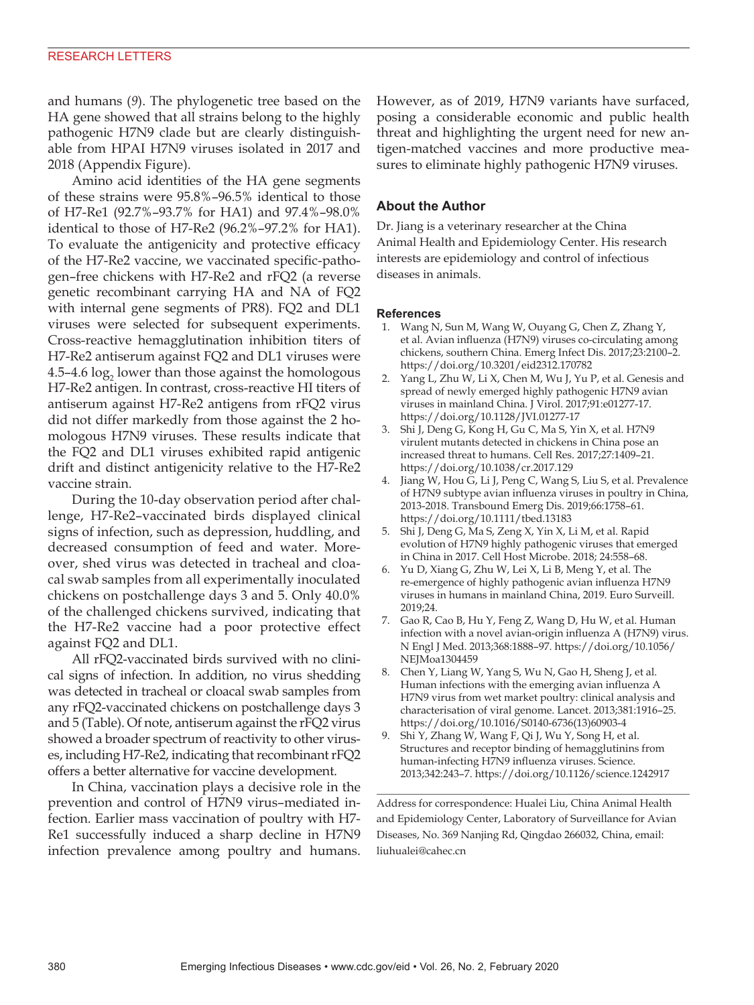#### RESEARCH LETTERS

and humans (*9*). The phylogenetic tree based on the HA gene showed that all strains belong to the highly pathogenic H7N9 clade but are clearly distinguishable from HPAI H7N9 viruses isolated in 2017 and 2018 (Appendix Figure).

Amino acid identities of the HA gene segments of these strains were 95.8%–96.5% identical to those of H7-Re1 (92.7%–93.7% for HA1) and 97.4%–98.0% identical to those of H7-Re2 (96.2%–97.2% for HA1). To evaluate the antigenicity and protective efficacy of the H7-Re2 vaccine, we vaccinated specific-pathogen–free chickens with H7-Re2 and rFQ2 (a reverse genetic recombinant carrying HA and NA of FQ2 with internal gene segments of PR8). FQ2 and DL1 viruses were selected for subsequent experiments. Cross-reactive hemagglutination inhibition titers of H7-Re2 antiserum against FQ2 and DL1 viruses were 4.5–4.6  $\log_2$  lower than those against the homologous H7-Re2 antigen. In contrast, cross-reactive HI titers of antiserum against H7-Re2 antigens from rFQ2 virus did not differ markedly from those against the 2 homologous H7N9 viruses. These results indicate that the FQ2 and DL1 viruses exhibited rapid antigenic drift and distinct antigenicity relative to the H7-Re2 vaccine strain.

During the 10-day observation period after challenge, H7-Re2–vaccinated birds displayed clinical signs of infection, such as depression, huddling, and decreased consumption of feed and water. Moreover, shed virus was detected in tracheal and cloacal swab samples from all experimentally inoculated chickens on postchallenge days 3 and 5. Only 40.0% of the challenged chickens survived, indicating that the H7-Re2 vaccine had a poor protective effect against FQ2 and DL1.

All rFQ2-vaccinated birds survived with no clinical signs of infection. In addition, no virus shedding was detected in tracheal or cloacal swab samples from any rFQ2-vaccinated chickens on postchallenge days 3 and 5 (Table). Of note, antiserum against the rFQ2 virus showed a broader spectrum of reactivity to other viruses, including H7-Re2, indicating that recombinant rFQ2 offers a better alternative for vaccine development.

In China, vaccination plays a decisive role in the prevention and control of H7N9 virus–mediated infection. Earlier mass vaccination of poultry with H7- Re1 successfully induced a sharp decline in H7N9 infection prevalence among poultry and humans.

However, as of 2019, H7N9 variants have surfaced, posing a considerable economic and public health threat and highlighting the urgent need for new antigen-matched vaccines and more productive measures to eliminate highly pathogenic H7N9 viruses.

### **About the Author**

Dr. Jiang is a veterinary researcher at the China Animal Health and Epidemiology Center. His research interests are epidemiology and control of infectious diseases in animals.

#### **References**

- 1. Wang N, Sun M, Wang W, Ouyang G, Chen Z, Zhang Y, et al. Avian influenza (H7N9) viruses co-circulating among chickens, southern China. Emerg Infect Dis. 2017;23:2100–2. https://doi.org/10.3201/eid2312.170782
- Yang L, Zhu W, Li X, Chen M, Wu J, Yu P, et al. Genesis and spread of newly emerged highly pathogenic H7N9 avian viruses in mainland China. J Virol. 2017;91:e01277-17. https://doi.org/10.1128/JVI.01277-17
- 3. Shi J, Deng G, Kong H, Gu C, Ma S, Yin X, et al. H7N9 virulent mutants detected in chickens in China pose an increased threat to humans. Cell Res. 2017;27:1409–21. https://doi.org/10.1038/cr.2017.129
- 4. Jiang W, Hou G, Li J, Peng C, Wang S, Liu S, et al. Prevalence of H7N9 subtype avian influenza viruses in poultry in China, 2013-2018. Transbound Emerg Dis. 2019;66:1758–61. https://doi.org/10.1111/tbed.13183
- 5. Shi J, Deng G, Ma S, Zeng X, Yin X, Li M, et al. Rapid evolution of H7N9 highly pathogenic viruses that emerged in China in 2017. Cell Host Microbe. 2018; 24:558–68.
- 6. Yu D, Xiang G, Zhu W, Lei X, Li B, Meng Y, et al. The re-emergence of highly pathogenic avian influenza H7N9 viruses in humans in mainland China, 2019. Euro Surveill. 2019;24.
- 7. Gao R, Cao B, Hu Y, Feng Z, Wang D, Hu W, et al. Human infection with a novel avian-origin influenza A (H7N9) virus. N Engl J Med. 2013;368:1888–97. https://doi.org/10.1056/ NEJMoa1304459
- 8. Chen Y, Liang W, Yang S, Wu N, Gao H, Sheng J, et al. Human infections with the emerging avian influenza A H7N9 virus from wet market poultry: clinical analysis and characterisation of viral genome. Lancet. 2013;381:1916–25. https://doi.org/10.1016/S0140-6736(13)60903-4
- 9. Shi Y, Zhang W, Wang F, Qi J, Wu Y, Song H, et al. Structures and receptor binding of hemagglutinins from human-infecting H7N9 influenza viruses. Science. 2013;342:243–7. https://doi.org/10.1126/science.1242917

Address for correspondence: Hualei Liu, China Animal Health and Epidemiology Center, Laboratory of Surveillance for Avian Diseases, No. 369 Nanjing Rd, Qingdao 266032, China, email: liuhualei@cahec.cn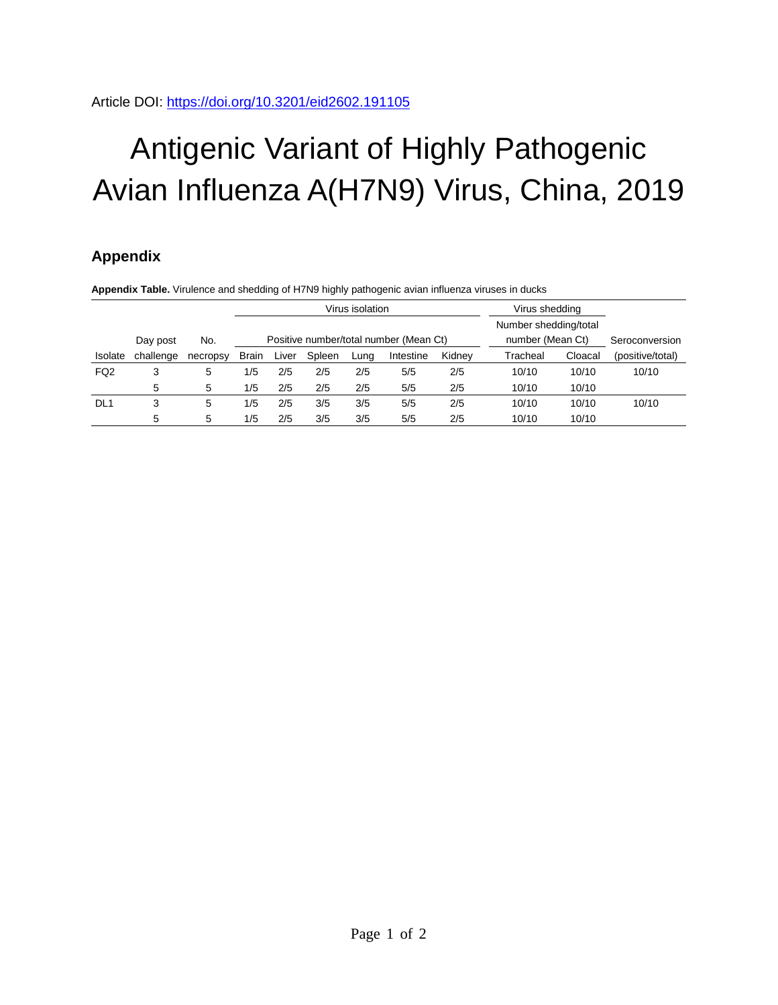# Antigenic Variant of Highly Pathogenic Avian Influenza A(H7N9) Virus, China, 2019

## **Appendix**

**Appendix Table.** Virulence and shedding of H7N9 highly pathogenic avian influenza viruses in ducks

|                 |           |          | Virus isolation                        |       |        |      |           |                  | Virus shedding        |                |                  |
|-----------------|-----------|----------|----------------------------------------|-------|--------|------|-----------|------------------|-----------------------|----------------|------------------|
|                 |           |          |                                        |       |        |      |           |                  | Number shedding/total |                |                  |
|                 | Day post  | No.      | Positive number/total number (Mean Ct) |       |        |      |           | number (Mean Ct) |                       | Seroconversion |                  |
| Isolate         | challenge | necropsy | <b>Brain</b>                           | Liver | Spleen | Luna | Intestine | Kidnev           | Tracheal              | Cloacal        | (positive/total) |
| FQ <sub>2</sub> | 3         | 5        | 1/5                                    | 2/5   | 2/5    | 2/5  | 5/5       | 2/5              | 10/10                 | 10/10          | 10/10            |
|                 | 5         | 5        | 1/5                                    | 2/5   | 2/5    | 2/5  | 5/5       | 2/5              | 10/10                 | 10/10          |                  |
| DL <sub>1</sub> | 3         | 5        | 1/5                                    | 2/5   | 3/5    | 3/5  | 5/5       | 2/5              | 10/10                 | 10/10          | 10/10            |
|                 | 5         | 5        | 1/5                                    | 2/5   | 3/5    | 3/5  | 5/5       | 2/5              | 10/10                 | 10/10          |                  |